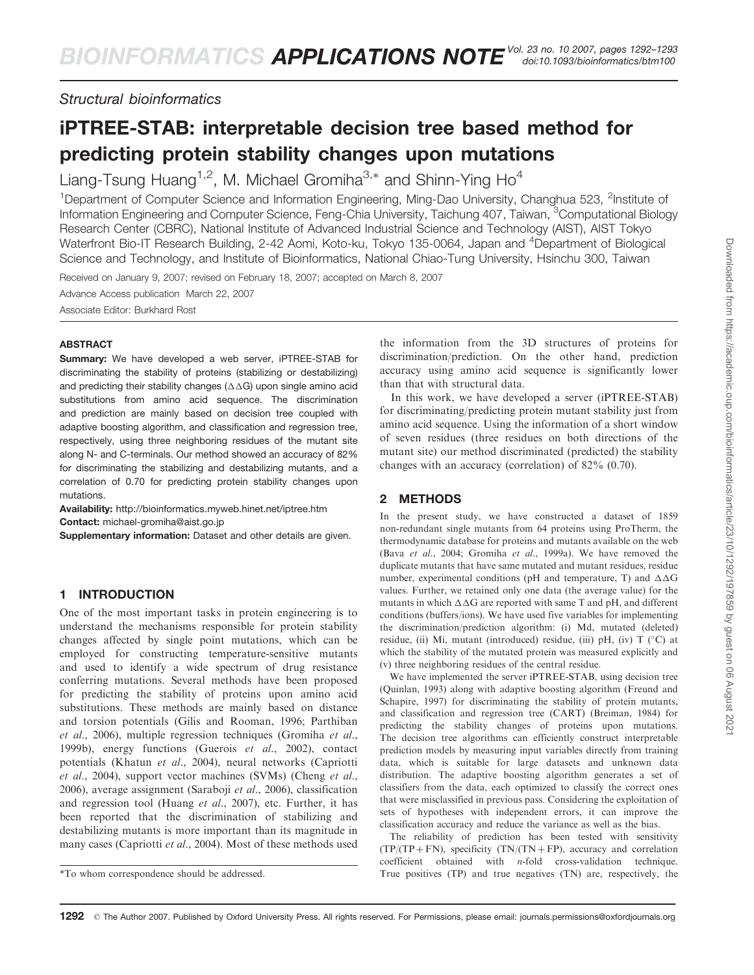*Structural bioinformatics*

# iPTREE-STAB: interpretable decision tree based method for predicting protein stability changes upon mutations

Liang-Tsung Huang<sup>1,2</sup>, M. Michael Gromiha<sup>3,\*</sup> and Shinn-Ying Ho<sup>4</sup>

<sup>1</sup>Department of Computer Science and Information Engineering, Ming-Dao University, Changhua 523, <sup>2</sup>Institute of Information Engineering and Computer Science, Feng-Chia University, Taichung 407, Taiwan, <sup>3</sup>Computational Biology Research Center (CBRC), National Institute of Advanced Industrial Science and Technology (AIST), AIST Tokyo Waterfront Bio-IT Research Building, 2-42 Aomi, Koto-ku, Tokyo 135-0064, Japan and <sup>4</sup>Department of Biological Science and Technology, and Institute of Bioinformatics, National Chiao-Tung University, Hsinchu 300, Taiwan

Received on January 9, 2007; revised on February 18, 2007; accepted on March 8, 2007

Advance Access publication March 22, 2007 Associate Editor: Burkhard Rost

### ABSTRACT

Summary: We have developed a web server, iPTREE-STAB for discriminating the stability of proteins (stabilizing or destabilizing) and predicting their stability changes  $(\Delta\Delta G)$  upon single amino acid substitutions from amino acid sequence. The discrimination and prediction are mainly based on decision tree coupled with adaptive boosting algorithm, and classification and regression tree, respectively, using three neighboring residues of the mutant site along N- and C-terminals. Our method showed an accuracy of 82% for discriminating the stabilizing and destabilizing mutants, and a correlation of 0.70 for predicting protein stability changes upon mutations.

Availability: http://bioinformatics.myweb.hinet.net/iptree.htm Contact: michael-gromiha@aist.go.jp

Supplementary information: Dataset and other details are given.

## 1 INTRODUCTION

One of the most important tasks in protein engineering is to understand the mechanisms responsible for protein stability changes affected by single point mutations, which can be employed for constructing temperature-sensitive mutants and used to identify a wide spectrum of drug resistance conferring mutations. Several methods have been proposed for predicting the stability of proteins upon amino acid substitutions. These methods are mainly based on distance and torsion potentials (Gilis and Rooman, 1996; Parthiban et al., 2006), multiple regression techniques (Gromiha et al., 1999b), energy functions (Guerois et al., 2002), contact potentials (Khatun et al., 2004), neural networks (Capriotti et al., 2004), support vector machines (SVMs) (Cheng et al., 2006), average assignment (Saraboji et al., 2006), classification and regression tool (Huang et al., 2007), etc. Further, it has been reported that the discrimination of stabilizing and destabilizing mutants is more important than its magnitude in many cases (Capriotti et al., 2004). Most of these methods used

the information from the 3D structures of proteins for discrimination/prediction. On the other hand, prediction accuracy using amino acid sequence is significantly lower than that with structural data.

In this work, we have developed a server (iPTREE-STAB) for discriminating/predicting protein mutant stability just from amino acid sequence. Using the information of a short window of seven residues (three residues on both directions of the mutant site) our method discriminated (predicted) the stability changes with an accuracy (correlation) of 82% (0.70).

## 2 METHODS

In the present study, we have constructed a dataset of 1859 non-redundant single mutants from 64 proteins using ProTherm, the thermodynamic database for proteins and mutants available on the web (Bava et al., 2004; Gromiha et al., 1999a). We have removed the duplicate mutants that have same mutated and mutant residues, residue number, experimental conditions (pH and temperature, T) and  $\Delta\Delta G$ values. Further, we retained only one data (the average value) for the mutants in which  $\Delta\Delta G$  are reported with same T and pH, and different conditions (buffers/ions). We have used five variables for implementing the discrimination/prediction algorithm: (i) Md, mutated (deleted) residue, (ii) Mi, mutant (introduced) residue, (iii) pH, (iv) T  $(^{\circ}C)$  at which the stability of the mutated protein was measured explicitly and (v) three neighboring residues of the central residue.

We have implemented the server iPTREE-STAB, using decision tree (Quinlan, 1993) along with adaptive boosting algorithm (Freund and Schapire, 1997) for discriminating the stability of protein mutants, and classification and regression tree (CART) (Breiman, 1984) for predicting the stability changes of proteins upon mutations. The decision tree algorithms can efficiently construct interpretable prediction models by measuring input variables directly from training data, which is suitable for large datasets and unknown data distribution. The adaptive boosting algorithm generates a set of classifiers from the data, each optimized to classify the correct ones that were misclassified in previous pass. Considering the exploitation of sets of hypotheses with independent errors, it can improve the classification accuracy and reduce the variance as well as the bias.

The reliability of prediction has been tested with sensitivity  $(TP/(TP + FN)$ , specificity  $(TN/(TN + FP)$ , accuracy and correlation coefficient obtained with n-fold cross-validation technique. \*To whom correspondence should be addressed. True positives (TP) and true negatives (TN) are, respectively, the